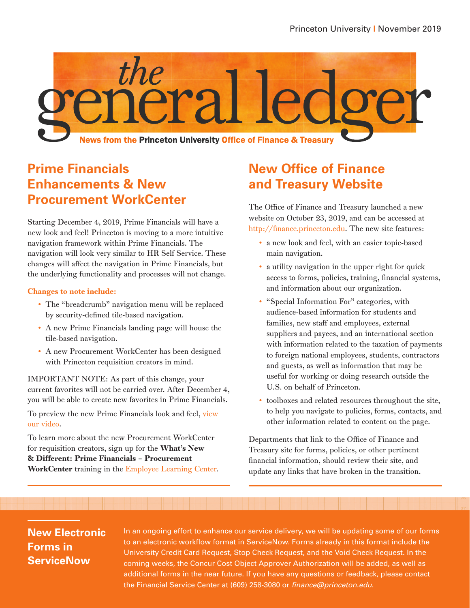

## **Prime Financials Enhancements & New Procurement WorkCenter**

Starting December 4, 2019, Prime Financials will have a new look and feel! Princeton is moving to a more intuitive navigation framework within Prime Financials. The navigation will look very similar to HR Self Service. These changes will affect the navigation in Prime Financials, but the underlying functionality and processes will not change.

#### Changes to note include:

- The "breadcrumb" navigation menu will be replaced by security-defined tile-based navigation.
- A new Prime Financials landing page will house the tile-based navigation.
- A new Procurement WorkCenter has been designed with Princeton requisition creators in mind.

IMPORTANT NOTE: As part of this change, your current favorites will not be carried over. After December 4, you will be able to create new favorites in Prime Financials.

To preview the new Prime Financials look and feel, [view](http://upkdocs.princeton.edu/prime/PrimeNavigationEnhancements/multiscreen.html)  [our video](http://upkdocs.princeton.edu/prime/PrimeNavigationEnhancements/multiscreen.html).

To learn more about the new Procurement WorkCenter for requisition creators, sign up for the What's New & Different: Prime Financials – Procurement WorkCenter training in the [Employee Learning Center.](https://putrain.learn.com/login.asp?sessionid=3-65648F67-015D-41AE-A647-B71F82AEB235&DCT=1&lcid=178409&requestedurl=%2Flearncenter%2Easp%3Fpage%3D101%26id%3D178409&secure=true)

# **New Office of Finance and Treasury Website**

The Office of Finance and Treasury launched a new website on October 23, 2019, and can be accessed at [http://finance.princeton.edu.](http://finance.princeton.edu) The new site features:

- a new look and feel, with an easier topic-based main navigation.
- a utility navigation in the upper right for quick access to forms, policies, training, financial systems, and information about our organization.
- "Special Information For" categories, with audience-based information for students and families, new staff and employees, external suppliers and payees, and an international section with information related to the taxation of payments to foreign national employees, students, contractors and guests, as well as information that may be useful for working or doing research outside the U.S. on behalf of Princeton.
- toolboxes and related resources throughout the site, to help you navigate to policies, forms, contacts, and other information related to content on the page.

Departments that link to the Office of Finance and Treasury site for forms, policies, or other pertinent financial information, should review their site, and update any links that have broken in the transition.

### **New Electronic Forms in ServiceNow**

In an ongoing effort to enhance our service delivery, we will be updating some of our forms to an electronic workflow format in ServiceNow. Forms already in this format include the University Credit Card Request, Stop Check Request, and the Void Check Request. In the coming weeks, the Concur Cost Object Approver Authorization will be added, as well as additional forms in the near future. If you have any questions or feedback, please contact the Financial Service Center at (609) 258-3080 or *finance@princeton.edu*.